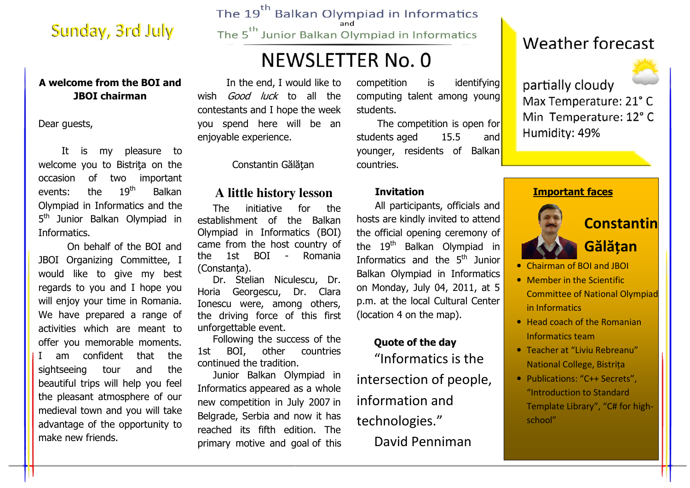## Sunday, 3rd July

#### A welcome from the BOI and JBOI chairman

Dear guests,

It is my pleasure to welcome you to Bistrita on the occasion of two important events: the 19<sup>th</sup> Balkan Olympiad in Informatics and the 5<sup>th</sup> Junior Balkan Olympiad in Informatics.

 On behalf of the BOI and JBOI Organizing Committee, I would like to give my best regards to you and I hope you will enjoy your time in Romania. We have prepared a range of activities which are meant to offer you memorable moments. I am confident that the sightseeing tour and the beautiful trips will help you feel the pleasant atmosphere of our medieval town and you will take advantage of the opportunity to make new friends.

The 19<sup>th</sup> Balkan Olympiad in Informatics

The 5<sup>th</sup> Junior Balkan Olympiad in Informatics

# **NEWSLETTER No. 0**

 In the end, I would like to wish *Good luck* to all the contestants and I hope the week you spend here will be an enjoyable experience.

Constantin Gălătan

### **A little history lesson**

The initiative for the establishment of the Balkan Olympiad in Informatics (BOI) came from the host country of the 1st BOI - Romania (Constanţa).

 Dr. Stelian Niculescu, Dr. Horia Georgescu, Dr. Clara Ionescu were, among others, the driving force of this first unforgettable event.

 Following the success of the countries 1st BOI, other continued the tradition.

 Junior Balkan Olympiad in Informatics appeared as a whole new competition in July 2007 in Belgrade, Serbia and now it has reached its fifth edition. The primary motive and goal of this

competition is identifying computing talent among young students.

 The competition is open for students aged 15.5 and younger, residents of Balkan countries.

#### Invitation

All participants, officials and hosts are kindly invited to attend the official opening ceremony of the  $19<sup>th</sup>$  Balkan Olympiad in Informatics and the 5<sup>th</sup> Junior Balkan Olympiad in Informatics on Monday, July 04, 2011, at 5 p.m. at the local Cultural Center (location 4 on the map).

#### Quote of the day

"Informatics is the intersection of people, information and technologies." David Penniman

## **Weather forecast**



partially cloudy Max Temperature: 21°C Min Temperature: 12°C Humidity: 49%

#### Important faces



- Chairman of BOI and JBOI
- Member in the Scientific Committee of National Olympiad in Informatics
- Head coach of the Romanian Informatics team
- Teacher at "Liviu Rebreanu" National College, Bistriţa
- Publications: "C++ Secrets", "Introduction to Standard Template Library", "C# for highschool"